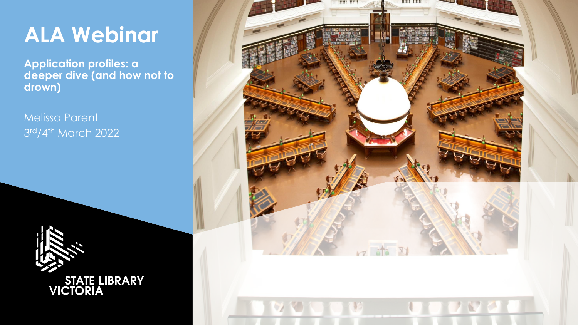## **ALA Webinar**

**Application profiles: a deeper dive (and how not to drown)**

Melissa Parent 3 rd/4th March 2022



STATE LIBRARY<br>VICTORIA

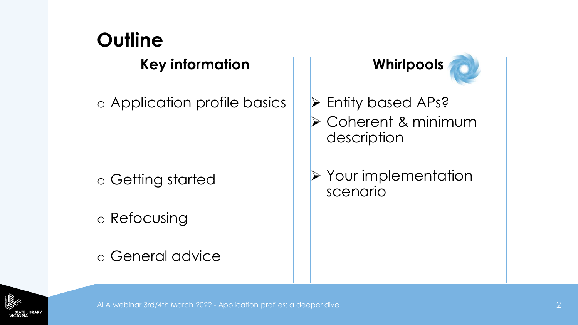## **Outline**

#### **Key information**

o Application profile basics

o Getting started

o Refocusing

#### o General advice

### **Whirlpools**

- ➢ Entity based APs?
- ➢ Coherent & minimum description

➢ Your implementation scenario

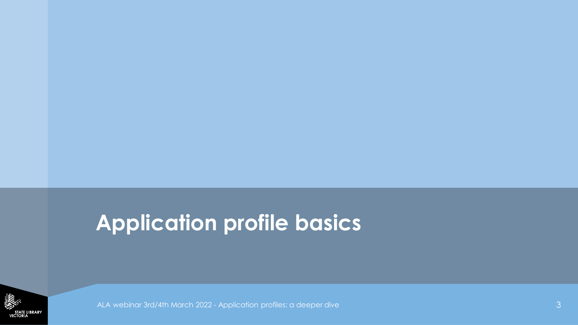## **Application profile basics**

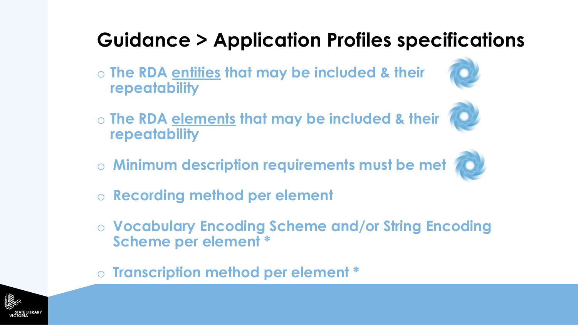## **Guidance > Application Profiles specifications**

- o **The RDA entities that may be included & their repeatability**
- 
- o **The RDA elements that may be included & their repeatability**
- o **Minimum description requirements must be met**



- o **Recording method per element**
- o **Vocabulary Encoding Scheme and/or String Encoding Scheme per element \***
- o **Transcription method per element \***

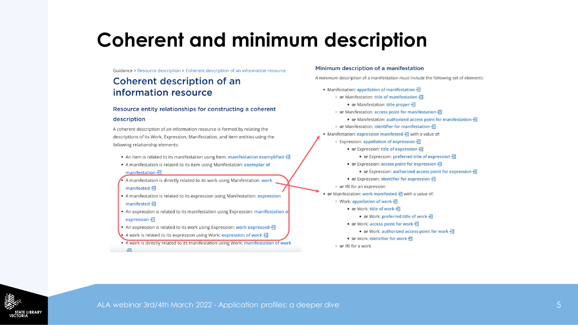### **Coherent and minimum description**

Guidance > Resource description > Coherent description of an information resource

#### Coherent description of an information resource

#### Resource entity relationships for constructing a coherent

#### description

A coherent description of an information resource is formed by relating the descriptions of its Work, Expression, Manifestation, and Item entities using the following relationship elements:

- An item is related to its manifestation using Item: manifestation exemplified  $\frac{1}{2}$
- A manifestation is related to its item using Manifestation: exemplar of manifestation →
- A manifestation is directly related to its work using Manifestation: work manifested -
- A manifestation is related to its expression using Manifestation: expression manifested →
- An expression is related to its manifestation using Expression: manifestation of expression  $\frac{1}{2}$
- An expression is related to its work using Expression: work expressed  $\frac{1}{2}$
- A work is related to its expression using Work: expression of work  $\frac{1}{2}$
- . A work is directly related to its manifestation using Work: manifestation of work

#### Minimum description of a manifestation

A minimum description of a manifestation must include the following set of elements:

• Manifestation: appellation of manifestation > ○ or Manifestation: title of manifestation → ■ or Manifestation: title proper → o or Manifestation: access point for manifestation > ■ or Manifestation: authorized access point for manifestation • ○ or Manifestation: identifier for manifestation → • Manifestation: expression manifested  $\frac{1}{2}$  with a value of: ○ Expression: appellation of expression → ■ or Expression: title of expression → ■ or Expression: preferred title of expression → • or Expression: access point for expression > ■ or Expression: authorized access point for expression → ■ or Expression: identifier for expression → o or IRI for an expression • or Manifestation: work manifested  $\frac{1}{2}$  with a value of: ○ Work: appellation of work 通 ■ or Work: title of work → ■ or Work: preferred title of work → ■ or Work: access point for work → ■ or Work: authorized access point for work → ■ or Work: identifier for work → o or IRI for a work

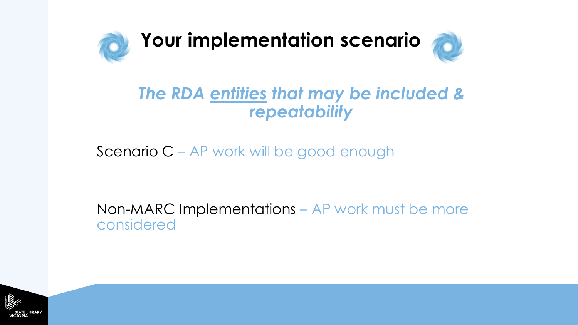

### *The RDA entities that may be included & repeatability*

Scenario C – AP work will be good enough

Non-MARC Implementations – AP work must be more considered

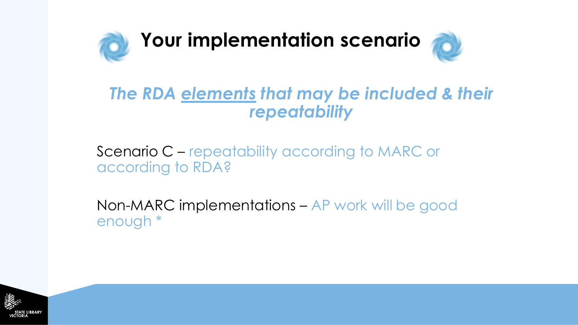

#### *The RDA elements that may be included & their repeatability*

Scenario C – repeatability according to MARC or according to RDA?

Non-MARC implementations – AP work will be good enough \*

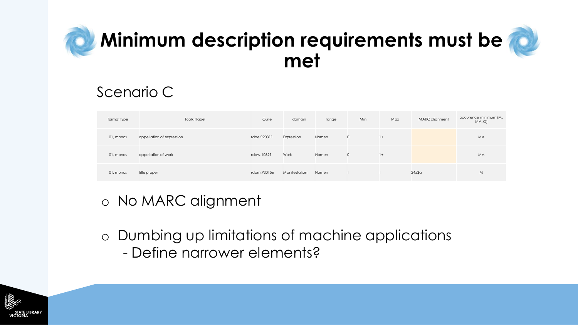## **Minimum description requirements must be met**



#### Scenario C

| format type | Toolkit label             | Curie       | domain        | range | Min     | Max  | MARC alignment | occurence minimum (M,<br>MA, O) |
|-------------|---------------------------|-------------|---------------|-------|---------|------|----------------|---------------------------------|
| 01, monos   | appellation of expression | rdae:P20311 | Expression    | Nomen | $\circ$ | $1+$ |                | MA                              |
| 01, monos   | appellation of work       | rdaw:10329  | Work          | Nomen | $\circ$ | $1+$ |                | MA                              |
| 01. monos   | title proper              | rdam:P30156 | Manifestation | Nomen |         |      | $245$ \$a      | M                               |

#### o No MARC alignment

- o Dumbing up limitations of machine applications
	- Define narrower elements?

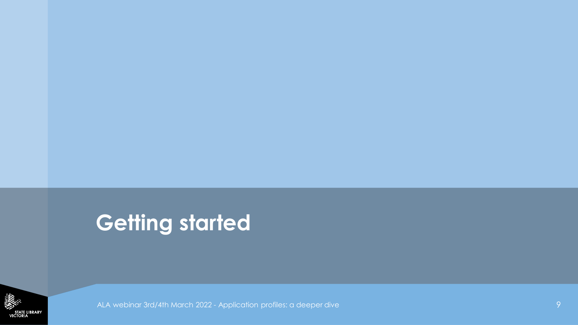## **Getting started**

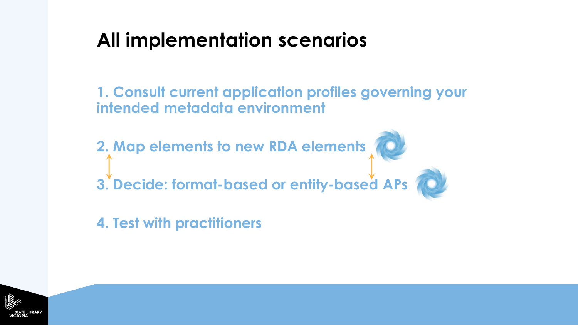## **All implementation scenarios**

**1. Consult current application profiles governing your intended metadata environment**

**2. Map elements to new RDA elements** 

**3. Decide: format-based or entity-based APs** 

**4. Test with practitioners**

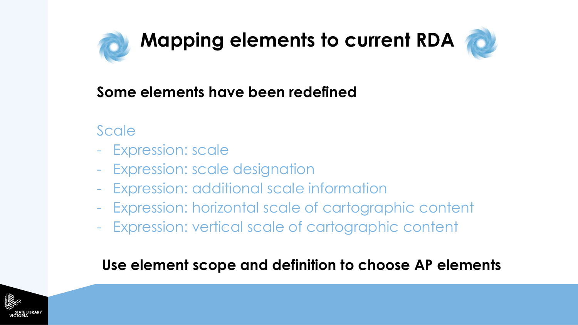



#### **Some elements have been redefined**

- **Scale**
- Expression: scale
- Expression: scale designation
- Expression: additional scale information
- Expression: horizontal scale of cartographic content
- Expression: vertical scale of cartographic content

#### **Use element scope and definition to choose AP elements**

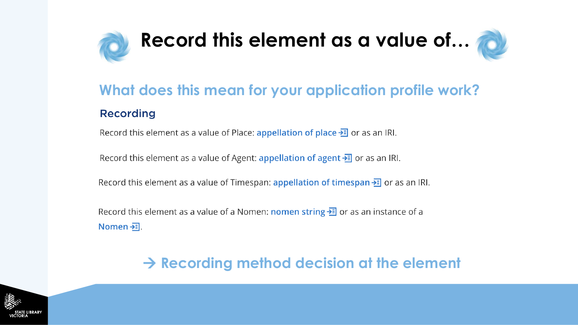

### **What does this mean for your application profile work? Recording**

Record this element as a value of Place: appellation of place  $\frac{1}{2}$  or as an IRI.

Record this element as a value of Agent: appellation of agent  $\frac{1}{2}$  or as an IRI.

Record this element as a value of Timespan: appellation of timespan  $\frac{1}{2}$  or as an IRI.

Record this element as a value of a Nomen: nomen string  $\frac{1}{2}$  or as an instance of a Nomen  $\frac{1}{2}$ .

#### → **Recording method decision at the element**

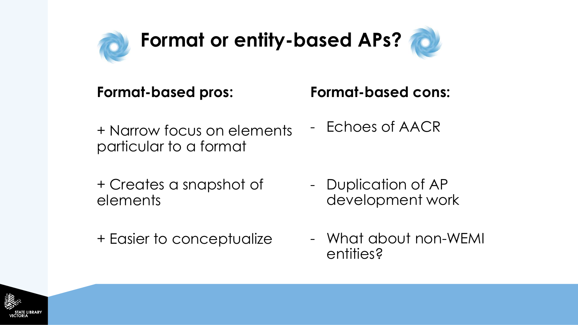

## **Yo Format or entity-based APs?**



#### **Format-based pros:**

#### **Format-based cons:**

- + Narrow focus on elements particular to a format
- + Creates a snapshot of elements
- + Easier to conceptualize

- Echoes of AACR

- Duplication of AP development work
- What about non-WEMI entities?

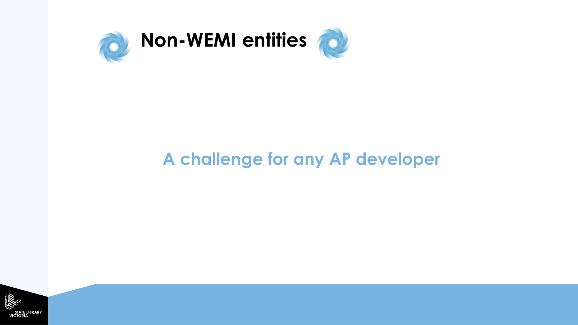

## **A challenge for any AP developer**

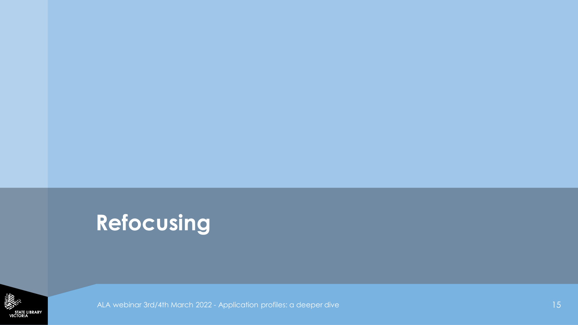## **Refocusing**

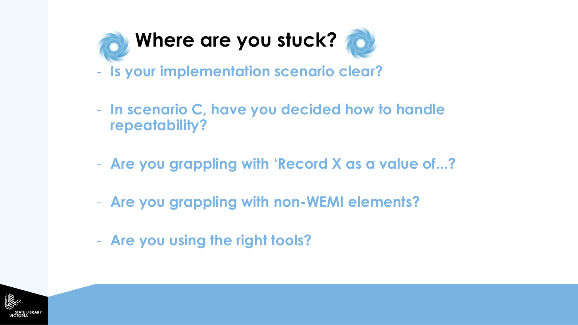

- **Is your implementation scenario clear?**
- **In scenario C, have you decided how to handle repeatability?**
- **Are you grappling with 'Record X as a value of...?**
- **Are you grappling with non-WEMI elements?**
- **Are you using the right tools?**

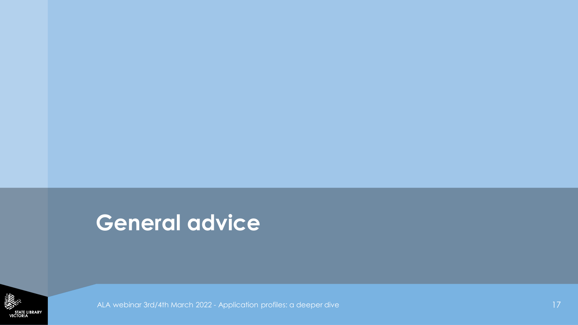## **General advice**

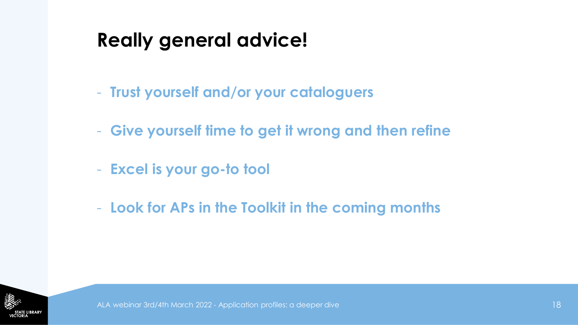## **Really general advice!**

- **Trust yourself and/or your cataloguers**
- **Give yourself time to get it wrong and then refine**
- **Excel is your go-to tool**
- **Look for APs in the Toolkit in the coming months**